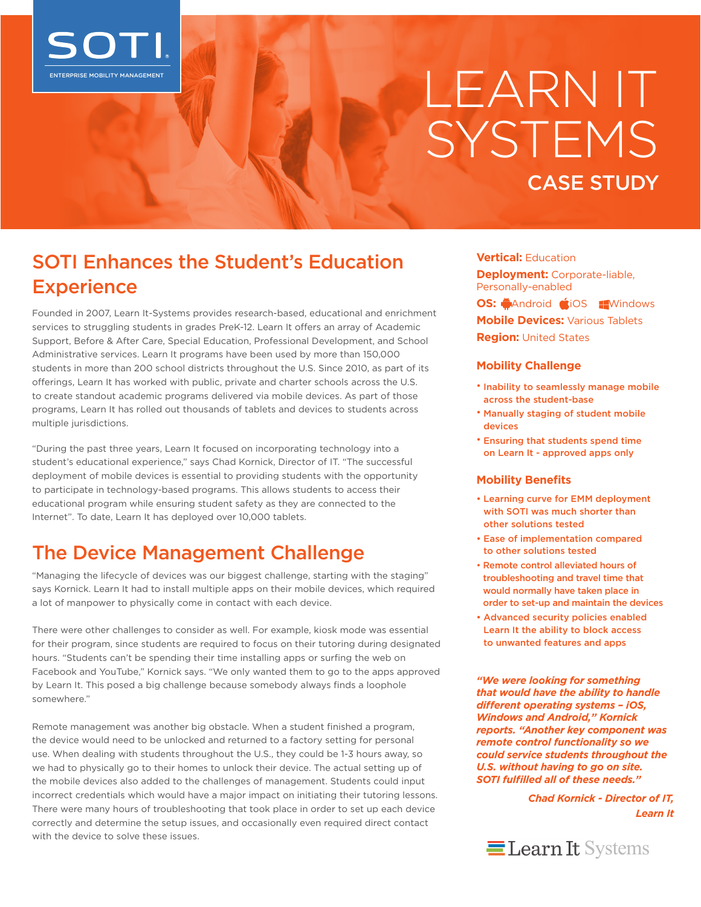

# LEARN IT SYSTEMS CASE STUDY

## SOTI Enhances the Student's Education **Experience**

Founded in 2007, Learn It-Systems provides research-based, educational and enrichment services to struggling students in grades PreK-12. Learn It offers an array of Academic Support, Before & After Care, Special Education, Professional Development, and School Administrative services. Learn It programs have been used by more than 150,000 students in more than 200 school districts throughout the U.S. Since 2010, as part of its offerings, Learn It has worked with public, private and charter schools across the U.S. to create standout academic programs delivered via mobile devices. As part of those programs, Learn It has rolled out thousands of tablets and devices to students across multiple jurisdictions.

"During the past three years, Learn It focused on incorporating technology into a student's educational experience," says Chad Kornick, Director of IT. "The successful deployment of mobile devices is essential to providing students with the opportunity to participate in technology-based programs. This allows students to access their educational program while ensuring student safety as they are connected to the Internet". To date, Learn It has deployed over 10,000 tablets.

## The Device Management Challenge

"Managing the lifecycle of devices was our biggest challenge, starting with the staging" says Kornick. Learn It had to install multiple apps on their mobile devices, which required a lot of manpower to physically come in contact with each device.

There were other challenges to consider as well. For example, kiosk mode was essential for their program, since students are required to focus on their tutoring during designated hours. "Students can't be spending their time installing apps or surfing the web on Facebook and YouTube," Kornick says. "We only wanted them to go to the apps approved by Learn It. This posed a big challenge because somebody always finds a loophole somewhere."

Remote management was another big obstacle. When a student finished a program, the device would need to be unlocked and returned to a factory setting for personal use. When dealing with students throughout the U.S., they could be 1-3 hours away, so we had to physically go to their homes to unlock their device. The actual setting up of the mobile devices also added to the challenges of management. Students could input incorrect credentials which would have a major impact on initiating their tutoring lessons. There were many hours of troubleshooting that took place in order to set up each device correctly and determine the setup issues, and occasionally even required direct contact with the device to solve these issues.

**Vertical:** Education

**Deployment:** Corporate-liable, Personally-enabled **OS:** MAndroid **COS Windows Mobile Devices:** Various Tablets **Region:** United States

#### **Mobility Challenge**

- Inability to seamlessly manage mobile across the student-base
- Manually staging of student mobile devices
- Ensuring that students spend time on Learn It - approved apps only

#### **Mobility Benefits**

- Learning curve for EMM deployment with SOTI was much shorter than other solutions tested
- Ease of implementation compared to other solutions tested
- Remote control alleviated hours of troubleshooting and travel time that would normally have taken place in order to set-up and maintain the devices
- Advanced security policies enabled Learn It the ability to block access to unwanted features and apps

*"We were looking for something that would have the ability to handle different operating systems – iOS, Windows and Android," Kornick reports. "Another key component was remote control functionality so we could service students throughout the U.S. without having to go on site. SOTI fulfilled all of these needs."*

> *Chad Kornick - Director of IT, Learn It*